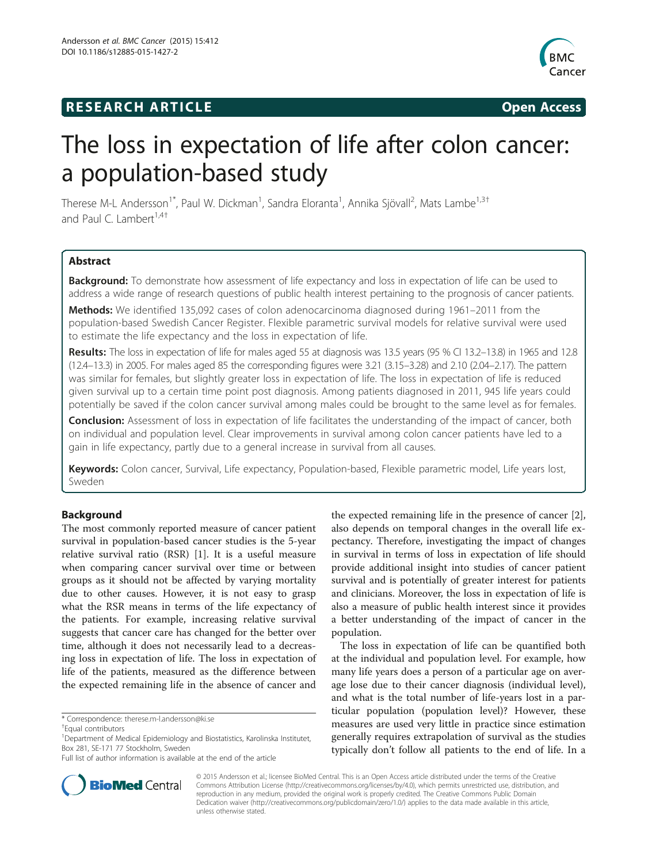# **RESEARCH ARTICLE Example 2014 CONSIDERING CONSIDERING CONSIDERING CONSIDERING CONSIDERING CONSIDERING CONSIDERING CONSIDERING CONSIDERING CONSIDERING CONSIDERING CONSIDERING CONSIDERING CONSIDERING CONSIDERING CONSIDE**



# The loss in expectation of life after colon cancer: a population-based study

Therese M-L Andersson<sup>1\*</sup>, Paul W. Dickman<sup>1</sup>, Sandra Eloranta<sup>1</sup>, Annika Sjövall<sup>2</sup>, Mats Lambe<sup>1,3†</sup> and Paul C. Lambert<sup>1,4+</sup>

# Abstract

Background: To demonstrate how assessment of life expectancy and loss in expectation of life can be used to address a wide range of research questions of public health interest pertaining to the prognosis of cancer patients.

Methods: We identified 135,092 cases of colon adenocarcinoma diagnosed during 1961–2011 from the population-based Swedish Cancer Register. Flexible parametric survival models for relative survival were used to estimate the life expectancy and the loss in expectation of life.

Results: The loss in expectation of life for males aged 55 at diagnosis was 13.5 years (95 % CI 13.2–13.8) in 1965 and 12.8 (12.4–13.3) in 2005. For males aged 85 the corresponding figures were 3.21 (3.15–3.28) and 2.10 (2.04–2.17). The pattern was similar for females, but slightly greater loss in expectation of life. The loss in expectation of life is reduced given survival up to a certain time point post diagnosis. Among patients diagnosed in 2011, 945 life years could potentially be saved if the colon cancer survival among males could be brought to the same level as for females.

Conclusion: Assessment of loss in expectation of life facilitates the understanding of the impact of cancer, both on individual and population level. Clear improvements in survival among colon cancer patients have led to a gain in life expectancy, partly due to a general increase in survival from all causes.

Keywords: Colon cancer, Survival, Life expectancy, Population-based, Flexible parametric model, Life years lost, Sweden

# Background

The most commonly reported measure of cancer patient survival in population-based cancer studies is the 5-year relative survival ratio (RSR) [[1\]](#page-8-0). It is a useful measure when comparing cancer survival over time or between groups as it should not be affected by varying mortality due to other causes. However, it is not easy to grasp what the RSR means in terms of the life expectancy of the patients. For example, increasing relative survival suggests that cancer care has changed for the better over time, although it does not necessarily lead to a decreasing loss in expectation of life. The loss in expectation of life of the patients, measured as the difference between the expected remaining life in the absence of cancer and

\* Correspondence: [therese.m-l.andersson@ki.se](mailto:therese.m-l.andersson@ki.se) †



The loss in expectation of life can be quantified both at the individual and population level. For example, how many life years does a person of a particular age on average lose due to their cancer diagnosis (individual level), and what is the total number of life-years lost in a particular population (population level)? However, these measures are used very little in practice since estimation generally requires extrapolation of survival as the studies typically don't follow all patients to the end of life. In a



© 2015 Andersson et al.; licensee BioMed Central. This is an Open Access article distributed under the terms of the Creative Commons Attribution License [\(http://creativecommons.org/licenses/by/4.0\)](http://creativecommons.org/licenses/by/4.0), which permits unrestricted use, distribution, and reproduction in any medium, provided the original work is properly credited. The Creative Commons Public Domain Dedication waiver [\(http://creativecommons.org/publicdomain/zero/1.0/](http://creativecommons.org/publicdomain/zero/1.0/)) applies to the data made available in this article, unless otherwise stated.

Equal contributors

<sup>&</sup>lt;sup>1</sup>Department of Medical Epidemiology and Biostatistics, Karolinska Institutet, Box 281, SE-171 77 Stockholm, Sweden

Full list of author information is available at the end of the article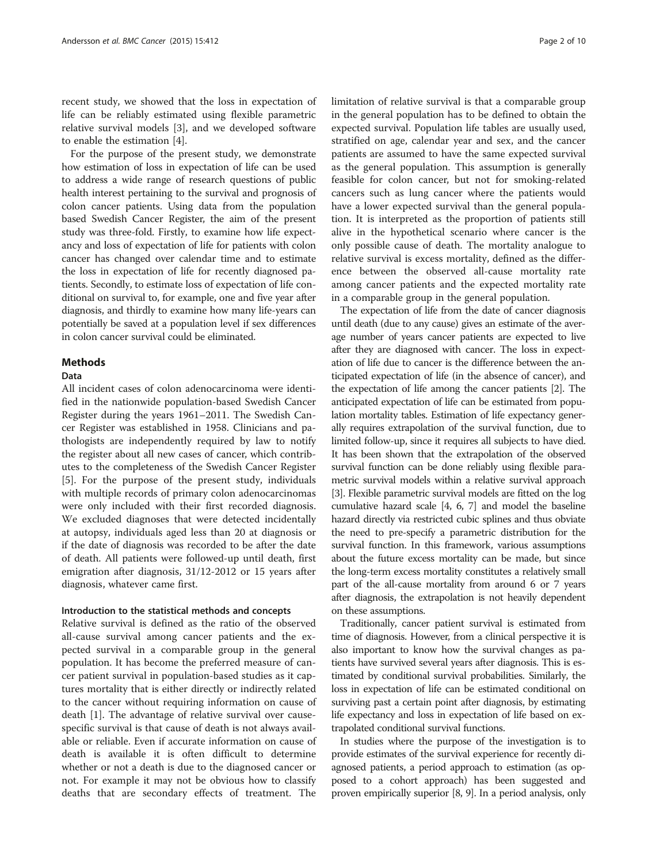recent study, we showed that the loss in expectation of life can be reliably estimated using flexible parametric relative survival models [\[3](#page-8-0)], and we developed software to enable the estimation [[4\]](#page-8-0).

For the purpose of the present study, we demonstrate how estimation of loss in expectation of life can be used to address a wide range of research questions of public health interest pertaining to the survival and prognosis of colon cancer patients. Using data from the population based Swedish Cancer Register, the aim of the present study was three-fold. Firstly, to examine how life expectancy and loss of expectation of life for patients with colon cancer has changed over calendar time and to estimate the loss in expectation of life for recently diagnosed patients. Secondly, to estimate loss of expectation of life conditional on survival to, for example, one and five year after diagnosis, and thirdly to examine how many life-years can potentially be saved at a population level if sex differences in colon cancer survival could be eliminated.

#### Methods

### Data

All incident cases of colon adenocarcinoma were identified in the nationwide population-based Swedish Cancer Register during the years 1961–2011. The Swedish Cancer Register was established in 1958. Clinicians and pathologists are independently required by law to notify the register about all new cases of cancer, which contributes to the completeness of the Swedish Cancer Register [[5\]](#page-8-0). For the purpose of the present study, individuals with multiple records of primary colon adenocarcinomas were only included with their first recorded diagnosis. We excluded diagnoses that were detected incidentally at autopsy, individuals aged less than 20 at diagnosis or if the date of diagnosis was recorded to be after the date of death. All patients were followed-up until death, first emigration after diagnosis, 31/12-2012 or 15 years after diagnosis, whatever came first.

### Introduction to the statistical methods and concepts

Relative survival is defined as the ratio of the observed all-cause survival among cancer patients and the expected survival in a comparable group in the general population. It has become the preferred measure of cancer patient survival in population-based studies as it captures mortality that is either directly or indirectly related to the cancer without requiring information on cause of death [[1\]](#page-8-0). The advantage of relative survival over causespecific survival is that cause of death is not always available or reliable. Even if accurate information on cause of death is available it is often difficult to determine whether or not a death is due to the diagnosed cancer or not. For example it may not be obvious how to classify deaths that are secondary effects of treatment. The limitation of relative survival is that a comparable group in the general population has to be defined to obtain the expected survival. Population life tables are usually used, stratified on age, calendar year and sex, and the cancer patients are assumed to have the same expected survival as the general population. This assumption is generally feasible for colon cancer, but not for smoking-related cancers such as lung cancer where the patients would have a lower expected survival than the general population. It is interpreted as the proportion of patients still alive in the hypothetical scenario where cancer is the only possible cause of death. The mortality analogue to relative survival is excess mortality, defined as the difference between the observed all-cause mortality rate among cancer patients and the expected mortality rate in a comparable group in the general population.

The expectation of life from the date of cancer diagnosis until death (due to any cause) gives an estimate of the average number of years cancer patients are expected to live after they are diagnosed with cancer. The loss in expectation of life due to cancer is the difference between the anticipated expectation of life (in the absence of cancer), and the expectation of life among the cancer patients [\[2](#page-8-0)]. The anticipated expectation of life can be estimated from population mortality tables. Estimation of life expectancy generally requires extrapolation of the survival function, due to limited follow-up, since it requires all subjects to have died. It has been shown that the extrapolation of the observed survival function can be done reliably using flexible parametric survival models within a relative survival approach [[3](#page-8-0)]. Flexible parametric survival models are fitted on the log cumulative hazard scale [[4](#page-8-0), [6](#page-8-0), [7](#page-8-0)] and model the baseline hazard directly via restricted cubic splines and thus obviate the need to pre-specify a parametric distribution for the survival function. In this framework, various assumptions about the future excess mortality can be made, but since the long-term excess mortality constitutes a relatively small part of the all-cause mortality from around 6 or 7 years after diagnosis, the extrapolation is not heavily dependent on these assumptions.

Traditionally, cancer patient survival is estimated from time of diagnosis. However, from a clinical perspective it is also important to know how the survival changes as patients have survived several years after diagnosis. This is estimated by conditional survival probabilities. Similarly, the loss in expectation of life can be estimated conditional on surviving past a certain point after diagnosis, by estimating life expectancy and loss in expectation of life based on extrapolated conditional survival functions.

In studies where the purpose of the investigation is to provide estimates of the survival experience for recently diagnosed patients, a period approach to estimation (as opposed to a cohort approach) has been suggested and proven empirically superior [[8](#page-8-0), [9\]](#page-8-0). In a period analysis, only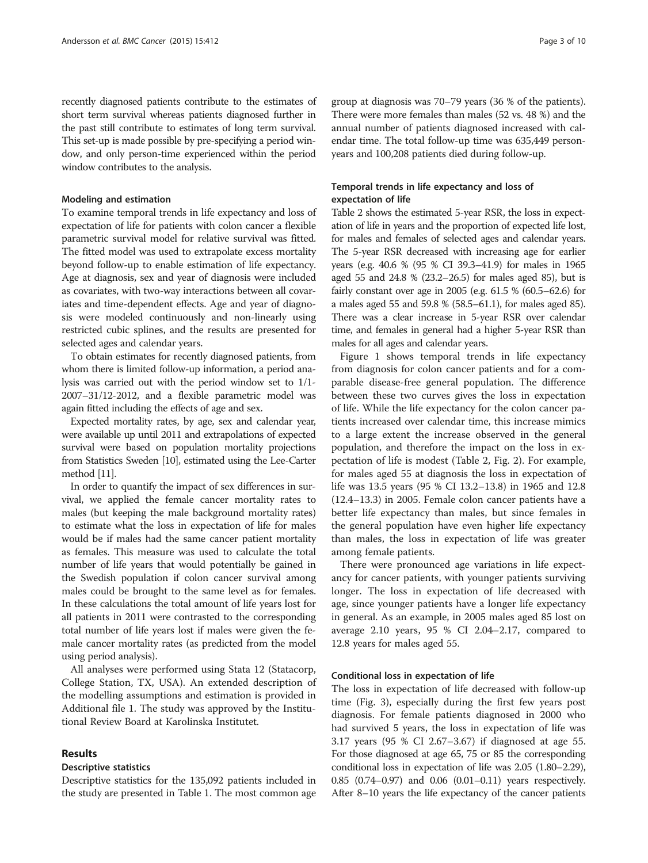recently diagnosed patients contribute to the estimates of short term survival whereas patients diagnosed further in the past still contribute to estimates of long term survival. This set-up is made possible by pre-specifying a period window, and only person-time experienced within the period window contributes to the analysis.

#### Modeling and estimation

To examine temporal trends in life expectancy and loss of expectation of life for patients with colon cancer a flexible parametric survival model for relative survival was fitted. The fitted model was used to extrapolate excess mortality beyond follow-up to enable estimation of life expectancy. Age at diagnosis, sex and year of diagnosis were included as covariates, with two-way interactions between all covariates and time-dependent effects. Age and year of diagnosis were modeled continuously and non-linearly using restricted cubic splines, and the results are presented for selected ages and calendar years.

To obtain estimates for recently diagnosed patients, from whom there is limited follow-up information, a period analysis was carried out with the period window set to 1/1- 2007–31/12-2012, and a flexible parametric model was again fitted including the effects of age and sex.

Expected mortality rates, by age, sex and calendar year, were available up until 2011 and extrapolations of expected survival were based on population mortality projections from Statistics Sweden [[10](#page-8-0)], estimated using the Lee-Carter method [[11](#page-8-0)].

In order to quantify the impact of sex differences in survival, we applied the female cancer mortality rates to males (but keeping the male background mortality rates) to estimate what the loss in expectation of life for males would be if males had the same cancer patient mortality as females. This measure was used to calculate the total number of life years that would potentially be gained in the Swedish population if colon cancer survival among males could be brought to the same level as for females. In these calculations the total amount of life years lost for all patients in 2011 were contrasted to the corresponding total number of life years lost if males were given the female cancer mortality rates (as predicted from the model using period analysis).

All analyses were performed using Stata 12 (Statacorp, College Station, TX, USA). An extended description of the modelling assumptions and estimation is provided in Additional file [1](#page-8-0). The study was approved by the Institutional Review Board at Karolinska Institutet.

#### Results

#### Descriptive statistics

Descriptive statistics for the 135,092 patients included in the study are presented in Table [1.](#page-3-0) The most common age

group at diagnosis was 70–79 years (36 % of the patients). There were more females than males (52 vs. 48 %) and the annual number of patients diagnosed increased with calendar time. The total follow-up time was 635,449 personyears and 100,208 patients died during follow-up.

# Temporal trends in life expectancy and loss of expectation of life

Table [2](#page-4-0) shows the estimated 5-year RSR, the loss in expectation of life in years and the proportion of expected life lost, for males and females of selected ages and calendar years. The 5-year RSR decreased with increasing age for earlier years (e.g. 40.6 % (95 % CI 39.3–41.9) for males in 1965 aged 55 and 24.8 % (23.2–26.5) for males aged 85), but is fairly constant over age in 2005 (e.g. 61.5 % (60.5–62.6) for a males aged 55 and 59.8 % (58.5–61.1), for males aged 85). There was a clear increase in 5-year RSR over calendar time, and females in general had a higher 5-year RSR than males for all ages and calendar years.

Figure [1](#page-5-0) shows temporal trends in life expectancy from diagnosis for colon cancer patients and for a comparable disease-free general population. The difference between these two curves gives the loss in expectation of life. While the life expectancy for the colon cancer patients increased over calendar time, this increase mimics to a large extent the increase observed in the general population, and therefore the impact on the loss in expectation of life is modest (Table [2,](#page-4-0) Fig. [2\)](#page-6-0). For example, for males aged 55 at diagnosis the loss in expectation of life was 13.5 years (95 % CI 13.2–13.8) in 1965 and 12.8 (12.4–13.3) in 2005. Female colon cancer patients have a better life expectancy than males, but since females in the general population have even higher life expectancy than males, the loss in expectation of life was greater among female patients.

There were pronounced age variations in life expectancy for cancer patients, with younger patients surviving longer. The loss in expectation of life decreased with age, since younger patients have a longer life expectancy in general. As an example, in 2005 males aged 85 lost on average 2.10 years, 95 % CI 2.04–2.17, compared to 12.8 years for males aged 55.

#### Conditional loss in expectation of life

The loss in expectation of life decreased with follow-up time (Fig. [3\)](#page-7-0), especially during the first few years post diagnosis. For female patients diagnosed in 2000 who had survived 5 years, the loss in expectation of life was 3.17 years (95 % CI 2.67–3.67) if diagnosed at age 55. For those diagnosed at age 65, 75 or 85 the corresponding conditional loss in expectation of life was 2.05 (1.80–2.29), 0.85 (0.74–0.97) and 0.06 (0.01–0.11) years respectively. After 8–10 years the life expectancy of the cancer patients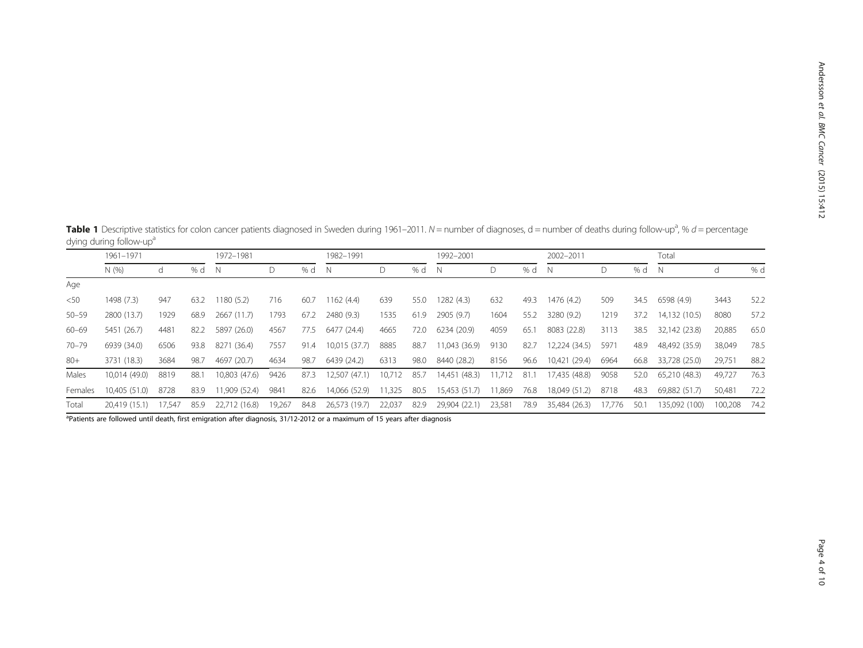<span id="page-3-0"></span>Table 1 Descriptive statistics for colon cancer patients diagnosed in Sweden during 1961–2011. N = number of diagnoses, d = number of deaths during follow-up<sup>a</sup>, % d = percentage dying during follow-up<sup>a</sup>

|           | 1961-1971     |        |      | 1972-1981     |        | 1982-1991 |               | 1992-2001 |      | 2002-2011     |        | Total |               |        |      |               |         |      |
|-----------|---------------|--------|------|---------------|--------|-----------|---------------|-----------|------|---------------|--------|-------|---------------|--------|------|---------------|---------|------|
|           | N(%           | d      | % d  | N.            | D      | % d       | <sup>N</sup>  | D.        | % d  | -N            | D      | % d   | <sup>N</sup>  | D      | % d  | N             | a.      | % d  |
| Age       |               |        |      |               |        |           |               |           |      |               |        |       |               |        |      |               |         |      |
| $<$ 50    | 1498 (7.3)    | 947    | 63.2 | 1180 (5.2)    | 716    | 60.7      | 1162(4.4)     | 639       | 55.0 | 1282(4.3)     | 632    | 49.3  | 1476 (4.2)    | 509    | 34.5 | 6598 (4.9)    | 3443    | 52.2 |
| $50 - 59$ | 2800 (13.7)   | 1929   | 68.9 | 2667 (11.7)   | 1793   | 67.2      | 2480 (9.3)    | 1535      | 61.9 | 2905 (9.7)    | 1604   | 55.2  | 3280 (9.2)    | 1219   | 37.2 | 14,132 (10.5) | 8080    | 57.2 |
| 60-69     | 5451 (26.7)   | 4481   | 82.2 | 5897 (26.0)   | 4567   | 77.5      | 6477 (24.4)   | 4665      | 72.0 | 6234 (20.9)   | 4059   | 65.1  | 8083 (22.8)   | 3113   | 38.5 | 32,142 (23.8) | 20,885  | 65.0 |
| 70-79     | 6939 (34.0)   | 6506   | 93.8 | 8271 (36.4)   | 7557   | 91.4      | 10,015 (37.7) | 8885      | 88.7 | 11,043 (36.9) | 9130   | 82.7  | 12,224 (34.5) | 5971   | 48.9 | 48,492 (35.9) | 38,049  | 78.5 |
| $80 +$    | 3731 (18.3)   | 3684   | 98.7 | 4697 (20.7)   | 4634   | 98.7      | 6439 (24.2)   | 6313      | 98.0 | 8440 (28.2)   | 8156   | 96.6  | 10,421 (29.4) | 6964   | 66.8 | 33,728 (25.0) | 29,751  | 88.2 |
| Males     | 10.014 (49.0) | 8819   | 88.1 | 10,803 (47.6) | 9426   | 87.3      | 12,507 (47.1) | 10,712    | 85.7 | 14,451 (48.3) | 11,712 | 81.1  | 17.435 (48.8) | 9058   | 52.0 | 65,210 (48.3) | 49,727  | 76.3 |
| Females   | 10.405 (51.0) | 8728   | 83.9 | 11,909 (52.4) | 9841   | 82.6      | 14,066 (52.9) | 11,325    | 80.5 | 15,453 (51.7) | 11,869 | 76.8  | 18,049 (51.2) | 8718   | 48.3 | 69,882 (51.7) | 50,481  | 72.2 |
| Total     | 20.419 (15.1) | 17.547 | 85.9 | 22,712 (16.8) | 19,267 | 84.8      | 26,573 (19.7) | 22,037    | 82.9 | 29,904 (22.1) | 23,581 | 78.9  | 35,484 (26.3) | 17.776 | 50.1 | 135.092 (100) | 100.208 | 74.2 |

<sup>a</sup>Patients are followed until death, first emigration after diagnosis, 31/12-2012 or a maximum of 15 years after diagnosis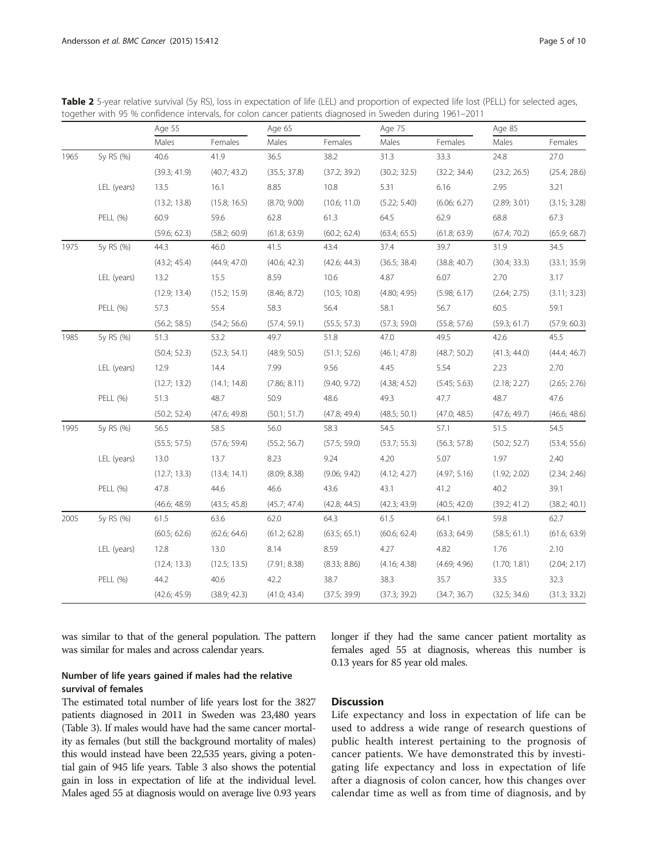|      |             | Age 55       |              | Age 65       |              | Age 75       |              | Age 85       |              |  |
|------|-------------|--------------|--------------|--------------|--------------|--------------|--------------|--------------|--------------|--|
|      |             | Males        | Females      | Males        | Females      | Males        | Females      | Males        | Females      |  |
| 1965 | 5y RS (%)   | 40.6         | 41.9         | 36.5         | 38.2         | 31.3         | 33.3         | 24.8         | 27.0         |  |
|      |             | (39.3; 41.9) | (40.7; 43.2) | (35.5; 37.8) | (37.2; 39.2) | (30.2; 32.5) | (32.2; 34.4) | (23.2; 26.5) | (25.4; 28.6) |  |
|      | LEL (years) | 13.5         | 16.1         | 8.85         | 10.8         | 5.31         | 6.16         | 2.95         | 3.21         |  |
|      |             | (13.2; 13.8) | (15.8; 16.5) | (8.70; 9.00) | (10.6; 11.0) | (5.22; 5.40) | (6.06; 6.27) | (2.89; 3.01) | (3.15; 3.28) |  |
|      | PELL (%)    | 60.9         | 59.6         | 62.8         | 61.3         | 64.5         | 62.9         | 68.8         | 67.3         |  |
|      |             | (59.6; 62.3) | (58.2; 60.9) | (61.8; 63.9) | (60.2; 62.4) | (63.4; 65.5) | (61.8; 63.9) | (67.4; 70.2) | (65.9; 68.7) |  |
| 1975 | 5y RS (%)   | 44.3         | 46.0         | 41.5         | 43.4         | 37.4         | 39.7         | 31.9         | 34.5         |  |
|      |             | (43.2; 45.4) | (44.9; 47.0) | (40.6; 42.3) | (42.6; 44.3) | (36.5; 38.4) | (38.8; 40.7) | (30.4; 33.3) | (33.1; 35.9) |  |
|      | LEL (years) | 13.2         | 15.5         | 8.59         | 10.6         | 4.87         | 6.07         | 2.70         | 3.17         |  |
|      |             | (12.9; 13.4) | (15.2; 15.9) | (8.46; 8.72) | (10.5; 10.8) | (4.80; 4.95) | (5.98; 6.17) | (2.64; 2.75) | (3.11; 3.23) |  |
|      | PELL (%)    | 57.3         | 55.4         | 58.3         | 56.4         | 58.1         | 56.7         | 60.5         | 59.1         |  |
|      |             | (56.2; 58.5) | (54.2; 56.6) | (57.4; 59.1) | (55.5; 57.3) | (57.3; 59.0) | (55.8; 57.6) | (59.3; 61.7) | (57.9; 60.3) |  |
| 1985 | 5y RS (%)   | 51.3         | 53.2         | 49.7         | 51.8         | 47.0         | 49.5         | 42.6         | 45.5         |  |
|      |             | (50.4; 52.3) | (52.3; 54.1) | (48.9; 50.5) | (51.1; 52.6) | (46.1; 47.8) | (48.7; 50.2) | (41.3; 44.0) | (44.4; 46.7) |  |
|      | LEL (years) | 12.9         | 14.4         | 7.99         | 9.56         | 4.45         | 5.54         | 2.23         | 2.70         |  |
|      |             | (12.7; 13.2) | (14.1; 14.8) | (7.86; 8.11) | (9.40; 9.72) | (4.38; 4.52) | (5.45; 5.63) | (2.18; 2.27) | (2.65; 2.76) |  |
|      | PELL (%)    | 51.3         | 48.7         | 50.9         | 48.6         | 49.3         | 47.7         | 48.7         | 47.6         |  |
|      |             | (50.2; 52.4) | (47.6; 49.8) | (50.1; 51.7) | (47.8; 49.4) | (48.5; 50.1) | (47.0; 48.5) | (47.6; 49.7) | (46.6; 48.6) |  |
| 1995 | 5y RS (%)   | 56.5         | 58.5         | 56.0         | 58.3         | 54.5         | 57.1         | 51.5         | 54.5         |  |
|      |             | (55.5; 57.5) | (57.6; 59.4) | (55.2; 56.7) | (57.5; 59.0) | (53.7; 55.3) | (56.3; 57.8) | (50.2; 52.7) | (53.4; 55.6) |  |
|      | LEL (years) | 13.0         | 13.7         | 8.23         | 9.24         | 4.20         | 5.07         | 1.97         | 2.40         |  |
|      |             | (12.7; 13.3) | (13.4; 14.1) | (8.09; 8.38) | (9.06; 9.42) | (4.12; 4.27) | (4.97; 5.16) | (1.92; 2.02) | (2.34; 2.46) |  |
|      | PELL (%)    | 47.8         | 44.6         | 46.6         | 43.6         | 43.1         | 41.2         | 40.2         | 39.1         |  |
|      |             | (46.6; 48.9) | (43.5; 45.8) | (45.7; 47.4) | (42.8; 44.5) | (42.3; 43.9) | (40.5; 42.0) | (39.2; 41.2) | (38.2; 40.1) |  |
| 2005 | 5y RS (%)   | 61.5         | 63.6         | 62.0         | 64.3         | 61.5         | 64.1         | 59.8         | 62.7         |  |
|      |             | (60.5; 62.6) | (62.6; 64.6) | (61.2; 62.8) | (63.5; 65.1) | (60.6; 62.4) | (63.3; 64.9) | (58.5; 61.1) | (61.6; 63.9) |  |
|      | LEL (years) | 12.8         | 13.0         | 8.14         | 8.59         | 4.27         | 4.82         | 1.76         | 2.10         |  |
|      |             | (12.4; 13.3) | (12.5; 13.5) | (7.91; 8.38) | (8.33; 8.86) | (4.16; 4.38) | (4.69; 4.96) | (1.70; 1.81) | (2.04; 2.17) |  |
|      | PELL (%)    | 44.2         | 40.6         | 42.2         | 38.7         | 38.3         | 35.7         | 33.5         | 32.3         |  |
|      |             | (42.6; 45.9) | (38.9; 42.3) | (41.0; 43.4) | (37.5; 39.9) | (37.3; 39.2) | (34.7; 36.7) | (32.5; 34.6) | (31.3; 33.2) |  |

<span id="page-4-0"></span>Table 2 5-year relative survival (5y RS), loss in expectation of life (LEL) and proportion of expected life lost (PELL) for selected ages, together with 95 % confidence intervals, for colon cancer patients diagnosed in Sweden during 1961–2011

was similar to that of the general population. The pattern was similar for males and across calendar years.

# Number of life years gained if males had the relative survival of females

The estimated total number of life years lost for the 3827 patients diagnosed in 2011 in Sweden was 23,480 years (Table [3](#page-7-0)). If males would have had the same cancer mortality as females (but still the background mortality of males) this would instead have been 22,535 years, giving a potential gain of 945 life years. Table [3](#page-7-0) also shows the potential gain in loss in expectation of life at the individual level. Males aged 55 at diagnosis would on average live 0.93 years longer if they had the same cancer patient mortality as females aged 55 at diagnosis, whereas this number is 0.13 years for 85 year old males.

# **Discussion**

Life expectancy and loss in expectation of life can be used to address a wide range of research questions of public health interest pertaining to the prognosis of cancer patients. We have demonstrated this by investigating life expectancy and loss in expectation of life after a diagnosis of colon cancer, how this changes over calendar time as well as from time of diagnosis, and by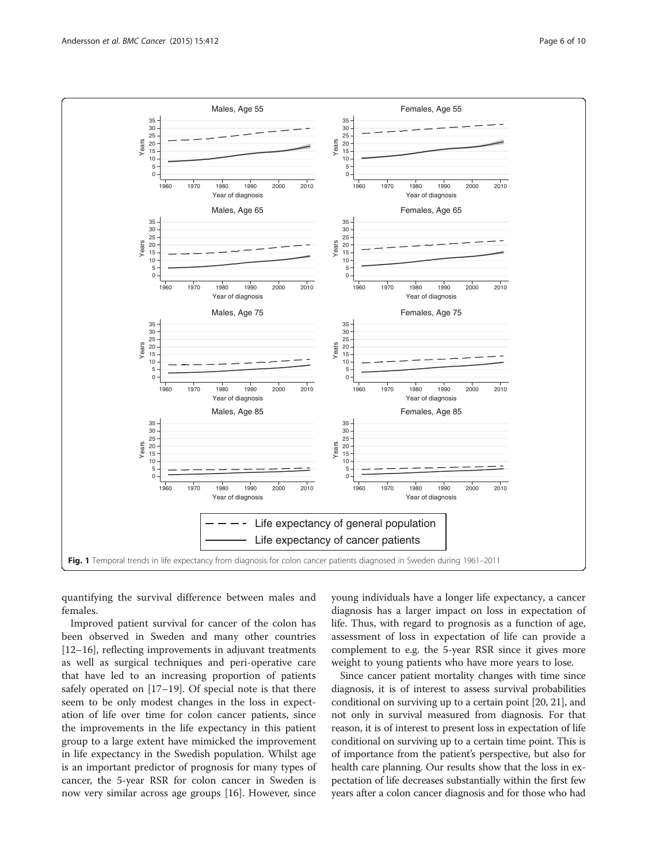<span id="page-5-0"></span>

quantifying the survival difference between males and females.

Improved patient survival for cancer of the colon has been observed in Sweden and many other countries [[12](#page-8-0)–[16](#page-8-0)], reflecting improvements in adjuvant treatments as well as surgical techniques and peri-operative care that have led to an increasing proportion of patients safely operated on [\[17](#page-8-0)–[19\]](#page-8-0). Of special note is that there seem to be only modest changes in the loss in expectation of life over time for colon cancer patients, since the improvements in the life expectancy in this patient group to a large extent have mimicked the improvement in life expectancy in the Swedish population. Whilst age is an important predictor of prognosis for many types of cancer, the 5-year RSR for colon cancer in Sweden is now very similar across age groups [[16\]](#page-8-0). However, since young individuals have a longer life expectancy, a cancer diagnosis has a larger impact on loss in expectation of life. Thus, with regard to prognosis as a function of age, assessment of loss in expectation of life can provide a complement to e.g. the 5-year RSR since it gives more weight to young patients who have more years to lose.

Since cancer patient mortality changes with time since diagnosis, it is of interest to assess survival probabilities conditional on surviving up to a certain point [\[20, 21\]](#page-8-0), and not only in survival measured from diagnosis. For that reason, it is of interest to present loss in expectation of life conditional on surviving up to a certain time point. This is of importance from the patient's perspective, but also for health care planning. Our results show that the loss in expectation of life decreases substantially within the first few years after a colon cancer diagnosis and for those who had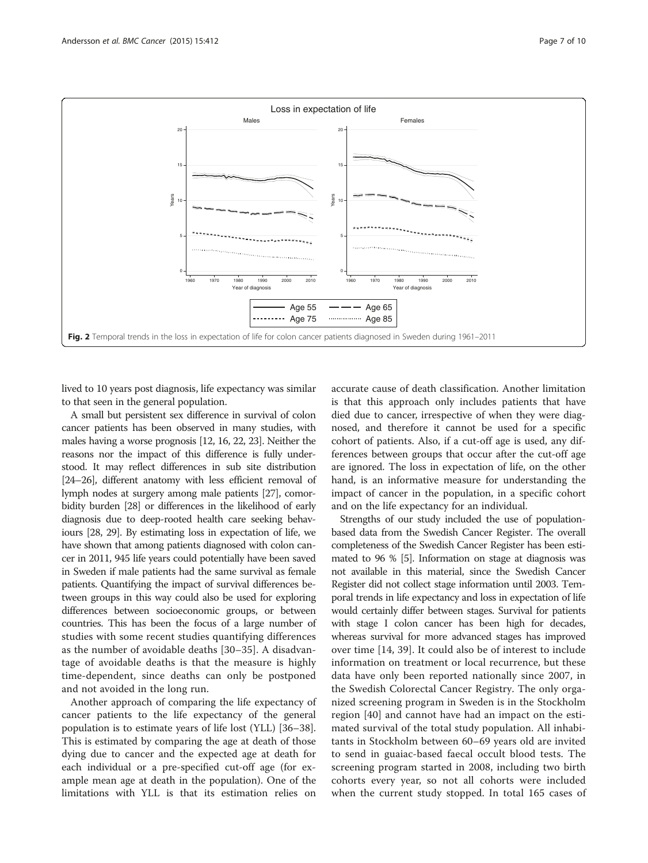<span id="page-6-0"></span>

lived to 10 years post diagnosis, life expectancy was similar to that seen in the general population.

A small but persistent sex difference in survival of colon cancer patients has been observed in many studies, with males having a worse prognosis [\[12, 16, 22, 23\]](#page-8-0). Neither the reasons nor the impact of this difference is fully understood. It may reflect differences in sub site distribution [[24](#page-8-0)–[26](#page-8-0)], different anatomy with less efficient removal of lymph nodes at surgery among male patients [\[27](#page-8-0)], comorbidity burden [\[28](#page-8-0)] or differences in the likelihood of early diagnosis due to deep-rooted health care seeking behaviours [[28](#page-8-0), [29](#page-8-0)]. By estimating loss in expectation of life, we have shown that among patients diagnosed with colon cancer in 2011, 945 life years could potentially have been saved in Sweden if male patients had the same survival as female patients. Quantifying the impact of survival differences between groups in this way could also be used for exploring differences between socioeconomic groups, or between countries. This has been the focus of a large number of studies with some recent studies quantifying differences as the number of avoidable deaths [\[30](#page-8-0)–[35](#page-8-0)]. A disadvantage of avoidable deaths is that the measure is highly time-dependent, since deaths can only be postponed and not avoided in the long run.

Another approach of comparing the life expectancy of cancer patients to the life expectancy of the general population is to estimate years of life lost (YLL) [[36](#page-8-0)–[38](#page-8-0)]. This is estimated by comparing the age at death of those dying due to cancer and the expected age at death for each individual or a pre-specified cut-off age (for example mean age at death in the population). One of the limitations with YLL is that its estimation relies on

accurate cause of death classification. Another limitation is that this approach only includes patients that have died due to cancer, irrespective of when they were diagnosed, and therefore it cannot be used for a specific cohort of patients. Also, if a cut-off age is used, any differences between groups that occur after the cut-off age are ignored. The loss in expectation of life, on the other hand, is an informative measure for understanding the impact of cancer in the population, in a specific cohort and on the life expectancy for an individual.

Strengths of our study included the use of populationbased data from the Swedish Cancer Register. The overall completeness of the Swedish Cancer Register has been estimated to 96 % [\[5](#page-8-0)]. Information on stage at diagnosis was not available in this material, since the Swedish Cancer Register did not collect stage information until 2003. Temporal trends in life expectancy and loss in expectation of life would certainly differ between stages. Survival for patients with stage I colon cancer has been high for decades, whereas survival for more advanced stages has improved over time [[14,](#page-8-0) [39\]](#page-9-0). It could also be of interest to include information on treatment or local recurrence, but these data have only been reported nationally since 2007, in the Swedish Colorectal Cancer Registry. The only organized screening program in Sweden is in the Stockholm region [[40\]](#page-9-0) and cannot have had an impact on the estimated survival of the total study population. All inhabitants in Stockholm between 60–69 years old are invited to send in guaiac-based faecal occult blood tests. The screening program started in 2008, including two birth cohorts every year, so not all cohorts were included when the current study stopped. In total 165 cases of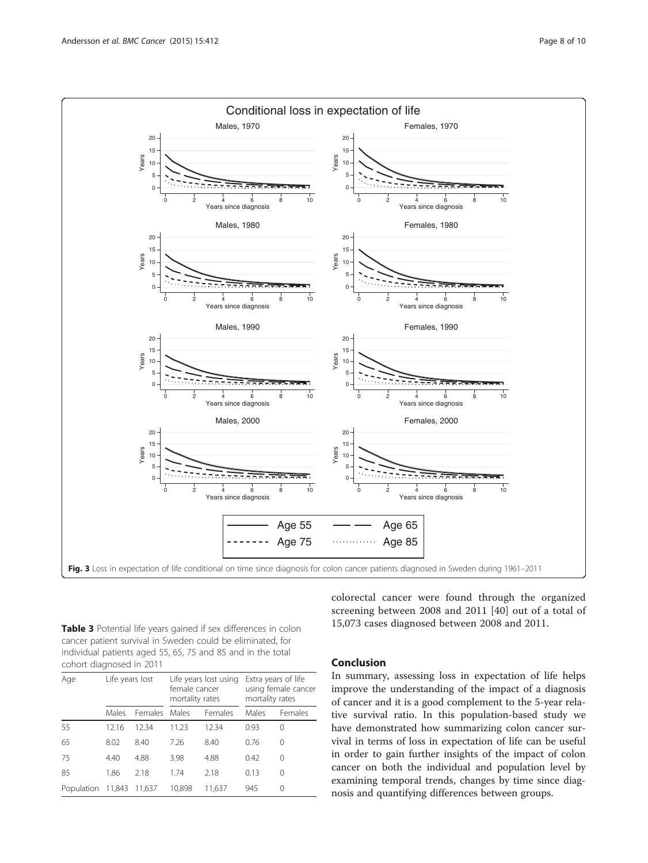<span id="page-7-0"></span>

| Table 3 Potential life years gained if sex differences in colon |
|-----------------------------------------------------------------|
| cancer patient survival in Sweden could be eliminated, for      |
| individual patients aged 55, 65, 75 and 85 and in the total     |
| cohort diagnosed in 2011                                        |

| Age        | Life years lost |               | female cancer<br>mortality rates | Life years lost using | Extra years of life<br>using female cancer<br>mortality rates |                  |  |
|------------|-----------------|---------------|----------------------------------|-----------------------|---------------------------------------------------------------|------------------|--|
|            | Males           | Females Males |                                  | Females               | Males                                                         | Females          |  |
| 55         | 12.16           | 12.34         | 11.23                            | 12.34                 | 0.93                                                          | $\left( \right)$ |  |
| 65         | 8.02            | 8.40          | 7.26                             | 8.40                  | 0.76                                                          | 0                |  |
| 75         | 4.40            | 4.88          | 3.98                             | 4.88                  | 0.42                                                          | 0                |  |
| 85         | 1.86            | 2.18          | 1.74                             | 2.18                  | 0.13                                                          | 0                |  |
| Population | 11,843          | 11.637        | 10,898                           | 11,637                | 945                                                           | 0                |  |

colorectal cancer were found through the organized screening between 2008 and 2011 [[40\]](#page-9-0) out of a total of 15,073 cases diagnosed between 2008 and 2011.

## Conclusion

In summary, assessing loss in expectation of life helps improve the understanding of the impact of a diagnosis of cancer and it is a good complement to the 5-year relative survival ratio. In this population-based study we have demonstrated how summarizing colon cancer survival in terms of loss in expectation of life can be useful in order to gain further insights of the impact of colon cancer on both the individual and population level by examining temporal trends, changes by time since diagnosis and quantifying differences between groups.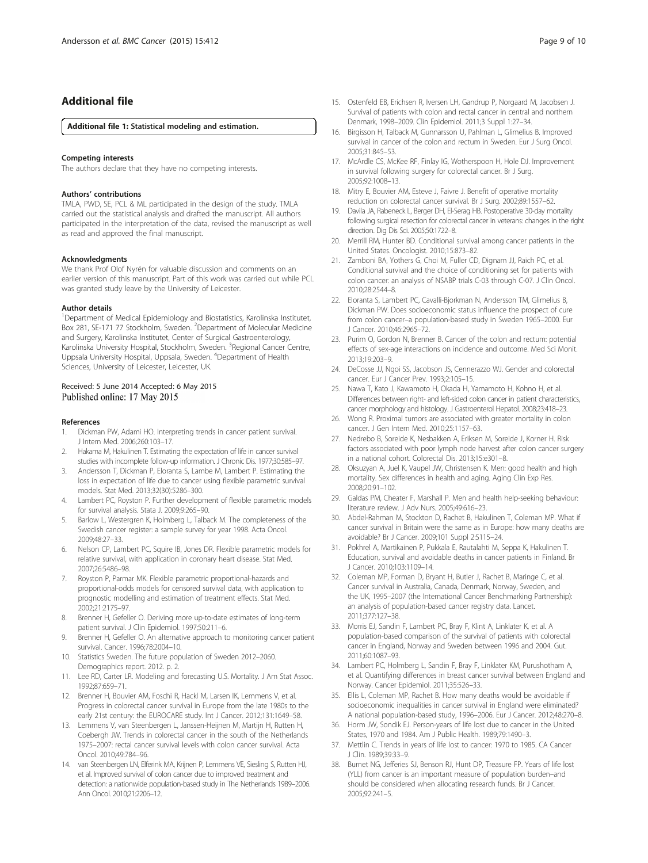# <span id="page-8-0"></span>Additional file

#### [Additional file 1:](http://www.biomedcentral.com/content/supplementary/s12885-015-1427-2-s1.docx) Statistical modeling and estimation.

#### Competing interests

The authors declare that they have no competing interests.

#### Authors' contributions

TMLA, PWD, SE, PCL & ML participated in the design of the study. TMLA carried out the statistical analysis and drafted the manuscript. All authors participated in the interpretation of the data, revised the manuscript as well as read and approved the final manuscript.

#### Acknowledgments

We thank Prof Olof Nyrén for valuable discussion and comments on an earlier version of this manuscript. Part of this work was carried out while PCL was granted study leave by the University of Leicester.

#### Author details

<sup>1</sup>Department of Medical Epidemiology and Biostatistics, Karolinska Institutet, Box 281, SE-171 77 Stockholm, Sweden. <sup>2</sup>Department of Molecular Medicine and Surgery, Karolinska Institutet, Center of Surgical Gastroenterology, Karolinska University Hospital, Stockholm, Sweden. <sup>3</sup>Regional Cancer Centre, Uppsala University Hospital, Uppsala, Sweden. <sup>4</sup> Department of Health Sciences, University of Leicester, Leicester, UK.

# Received: 5 June 2014 Accepted: 6 May 2015<br>Published online: 17 May 2015

#### References

- 1. Dickman PW, Adami HO. Interpreting trends in cancer patient survival. J Intern Med. 2006;260:103–17.
- 2. Hakama M, Hakulinen T. Estimating the expectation of life in cancer survival studies with incomplete follow-up information. J Chronic Dis. 1977;30:585–97.
- 3. Andersson T, Dickman P, Eloranta S, Lambe M, Lambert P. Estimating the loss in expectation of life due to cancer using flexible parametric survival models. Stat Med. 2013;32(30):5286–300.
- Lambert PC, Royston P. Further development of flexible parametric models for survival analysis. Stata J. 2009;9:265–90.
- 5. Barlow L, Westergren K, Holmberg L, Talback M. The completeness of the Swedish cancer register: a sample survey for year 1998. Acta Oncol. 2009;48:27–33.
- 6. Nelson CP, Lambert PC, Squire IB, Jones DR. Flexible parametric models for relative survival, with application in coronary heart disease. Stat Med. 2007;26:5486–98.
- 7. Royston P, Parmar MK. Flexible parametric proportional-hazards and proportional-odds models for censored survival data, with application to prognostic modelling and estimation of treatment effects. Stat Med. 2002;21:2175–97.
- 8. Brenner H, Gefeller O. Deriving more up-to-date estimates of long-term patient survival. J Clin Epidemiol. 1997;50:211–6.
- 9. Brenner H, Gefeller O. An alternative approach to monitoring cancer patient survival. Cancer. 1996;78:2004–10.
- 10. Statistics Sweden. The future population of Sweden 2012–2060. Demographics report. 2012. p. 2.
- 11. Lee RD, Carter LR. Modeling and forecasting U.S. Mortality. J Am Stat Assoc. 1992;87:659–71.
- 12. Brenner H, Bouvier AM, Foschi R, Hackl M, Larsen IK, Lemmens V, et al. Progress in colorectal cancer survival in Europe from the late 1980s to the early 21st century: the EUROCARE study. Int J Cancer. 2012;131:1649–58.
- 13. Lemmens V, van Steenbergen L, Janssen-Heijnen M, Martijn H, Rutten H, Coebergh JW. Trends in colorectal cancer in the south of the Netherlands 1975–2007: rectal cancer survival levels with colon cancer survival. Acta Oncol. 2010;49:784–96.
- 14. van Steenbergen LN, Elferink MA, Krijnen P, Lemmens VE, Siesling S, Rutten HJ, et al. Improved survival of colon cancer due to improved treatment and detection: a nationwide population-based study in The Netherlands 1989–2006. Ann Oncol. 2010;21:2206–12.
- 15. Ostenfeld EB, Erichsen R, Iversen LH, Gandrup P, Norgaard M, Jacobsen J. Survival of patients with colon and rectal cancer in central and northern Denmark, 1998–2009. Clin Epidemiol. 2011;3 Suppl 1:27–34.
- 16. Birgisson H, Talback M, Gunnarsson U, Pahlman L, Glimelius B. Improved survival in cancer of the colon and rectum in Sweden. Eur J Surg Oncol. 2005;31:845–53.
- 17. McArdle CS, McKee RF, Finlay IG, Wotherspoon H, Hole DJ. Improvement in survival following surgery for colorectal cancer. Br J Surg. 2005;92:1008–13.
- 18. Mitry E, Bouvier AM, Esteve J, Faivre J. Benefit of operative mortality reduction on colorectal cancer survival. Br J Surg. 2002;89:1557–62.
- 19. Davila JA, Rabeneck L, Berger DH, El-Serag HB. Postoperative 30-day mortality following surgical resection for colorectal cancer in veterans: changes in the right direction. Dig Dis Sci. 2005;50:1722–8.
- 20. Merrill RM, Hunter BD. Conditional survival among cancer patients in the United States. Oncologist. 2010;15:873–82.
- 21. Zamboni BA, Yothers G, Choi M, Fuller CD, Dignam JJ, Raich PC, et al. Conditional survival and the choice of conditioning set for patients with colon cancer: an analysis of NSABP trials C-03 through C-07. J Clin Oncol. 2010;28:2544–8.
- 22. Eloranta S, Lambert PC, Cavalli-Bjorkman N, Andersson TM, Glimelius B, Dickman PW. Does socioeconomic status influence the prospect of cure from colon cancer–a population-based study in Sweden 1965–2000. Eur J Cancer. 2010;46:2965–72.
- 23. Purim O, Gordon N, Brenner B. Cancer of the colon and rectum: potential effects of sex-age interactions on incidence and outcome. Med Sci Monit. 2013;19:203–9.
- 24. DeCosse JJ, Ngoi SS, Jacobson JS, Cennerazzo WJ. Gender and colorectal cancer. Eur J Cancer Prev. 1993;2:105–15.
- 25. Nawa T, Kato J, Kawamoto H, Okada H, Yamamoto H, Kohno H, et al. Differences between right- and left-sided colon cancer in patient characteristics, cancer morphology and histology. J Gastroenterol Hepatol. 2008;23:418–23.
- 26. Wong R. Proximal tumors are associated with greater mortality in colon cancer. J Gen Intern Med. 2010;25:1157–63.
- 27. Nedrebo B, Soreide K, Nesbakken A, Eriksen M, Soreide J, Korner H. Risk factors associated with poor lymph node harvest after colon cancer surgery in a national cohort. Colorectal Dis. 2013;15:e301–8.
- 28. Oksuzyan A, Juel K, Vaupel JW, Christensen K. Men: good health and high mortality. Sex differences in health and aging. Aging Clin Exp Res. 2008;20:91–102.
- 29. Galdas PM, Cheater F, Marshall P. Men and health help-seeking behaviour: literature review. J Adv Nurs. 2005;49:616–23.
- 30. Abdel-Rahman M, Stockton D, Rachet B, Hakulinen T, Coleman MP. What if cancer survival in Britain were the same as in Europe: how many deaths are avoidable? Br J Cancer. 2009;101 Suppl 2:S115–24.
- 31. Pokhrel A, Martikainen P, Pukkala E, Rautalahti M, Seppa K, Hakulinen T. Education, survival and avoidable deaths in cancer patients in Finland. Br J Cancer. 2010;103:1109–14.
- 32. Coleman MP, Forman D, Bryant H, Butler J, Rachet B, Maringe C, et al. Cancer survival in Australia, Canada, Denmark, Norway, Sweden, and the UK, 1995–2007 (the International Cancer Benchmarking Partnership): an analysis of population-based cancer registry data. Lancet. 2011;377:127–38.
- 33. Morris EJ, Sandin F, Lambert PC, Bray F, Klint A, Linklater K, et al. A population-based comparison of the survival of patients with colorectal cancer in England, Norway and Sweden between 1996 and 2004. Gut. 2011;60:1087–93.
- 34. Lambert PC, Holmberg L, Sandin F, Bray F, Linklater KM, Purushotham A, et al. Quantifying differences in breast cancer survival between England and Norway. Cancer Epidemiol. 2011;35:526–33.
- 35. Ellis L, Coleman MP, Rachet B. How many deaths would be avoidable if socioeconomic inequalities in cancer survival in England were eliminated? A national population-based study, 1996–2006. Eur J Cancer. 2012;48:270–8.
- 36. Horm JW, Sondik EJ. Person-years of life lost due to cancer in the United States, 1970 and 1984. Am J Public Health. 1989;79:1490–3.
- 37. Mettlin C. Trends in years of life lost to cancer: 1970 to 1985. CA Cancer J Clin. 1989;39:33–9.
- 38. Burnet NG, Jefferies SJ, Benson RJ, Hunt DP, Treasure FP. Years of life lost (YLL) from cancer is an important measure of population burden–and should be considered when allocating research funds. Br J Cancer. 2005;92:241–5.